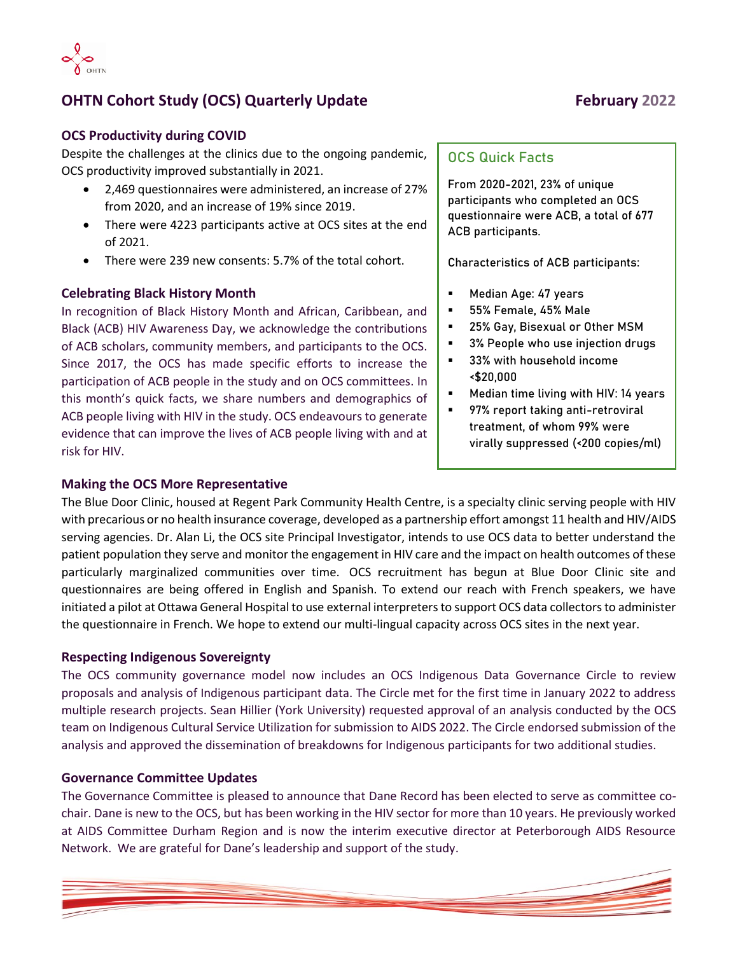

# **OHTN Cohort Study (OCS) Quarterly Update February 2022**

## **OCS Productivity during COVID**

Despite the challenges at the clinics due to the ongoing pandemic, OCS productivity improved substantially in 2021.

- 2,469 questionnaires were administered, an increase of 27% from 2020, and an increase of 19% since 2019.
- There were 4223 participants active at OCS sites at the end of 2021.
- There were 239 new consents: 5.7% of the total cohort.

## **Celebrating Black History Month**

In recognition of Black History Month and African, Caribbean, and Black (ACB) HIV Awareness Day, we acknowledge the contributions of ACB scholars, community members, and participants to the OCS. Since 2017, the OCS has made specific efforts to increase the participation of ACB people in the study and on OCS committees. In this month's quick facts, we share numbers and demographics of ACB people living with HIV in the study. OCS endeavours to generate evidence that can improve the lives of ACB people living with and at risk for HIV.

### **Making the OCS More Representative**

# **OCS Quick Facts**

From 2020-2021, 23% of unique participants who completed an OCS questionnaire were ACB, a total of 677 ACB participants.

**Characteristics of ACB participants:**

- Median Age: 47 years
- 55% Female, 45% Male
- 25% Gay, Bisexual or Other MSM
- 3% People who use injection drugs
- 33% with household income <\$20,000
- Median time living with HIV: 14 years
- 97% report taking anti-retroviral treatment, of whom 99% were virally suppressed (<200 copies/ml)

The Blue Door Clinic, housed at Regent Park Community Health Centre, is a specialty clinic serving people with HIV with precarious or no health insurance coverage, developed as a partnership effort amongst 11 health and HIV/AIDS serving agencies. Dr. Alan Li, the OCS site Principal Investigator, intends to use OCS data to better understand the patient population they serve and monitor the engagement in HIV care and the impact on health outcomes of these particularly marginalized communities over time. OCS recruitment has begun at Blue Door Clinic site and questionnaires are being offered in English and Spanish. To extend our reach with French speakers, we have initiated a pilot at Ottawa General Hospital to use external interpreters to support OCS data collectors to administer the questionnaire in French. We hope to extend our multi-lingual capacity across OCS sites in the next year.

### **Respecting Indigenous Sovereignty**

The OCS community governance model now includes an OCS Indigenous Data Governance Circle to review proposals and analysis of Indigenous participant data. The Circle met for the first time in January 2022 to address multiple research projects. Sean Hillier (York University) requested approval of an analysis conducted by the OCS team on Indigenous Cultural Service Utilization for submission to AIDS 2022. The Circle endorsed submission of the analysis and approved the dissemination of breakdowns for Indigenous participants for two additional studies.

## **Governance Committee Updates**

The Governance Committee is pleased to announce that Dane Record has been elected to serve as committee cochair. Dane is new to the OCS, but has been working in the HIV sector for more than 10 years. He previously worked at AIDS Committee Durham Region and is now the interim executive director at Peterborough AIDS Resource Network. We are grateful for Dane's leadership and support of the study.